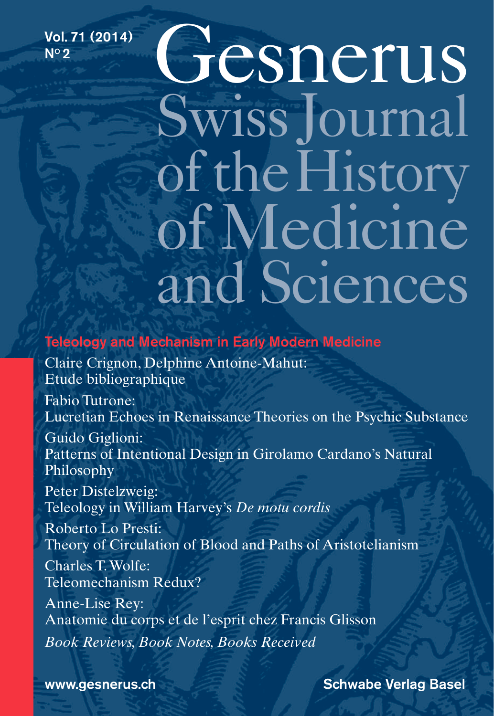Vol. 71 (2014) Nº2

# Gesnerus SwissJournal of the History of Medicine and Sciences

Teleology and Mechanism in Early Modern Medicine

Claire Crignon, Delphine Antoine-Mahut: Etude bibliographique

Fabio Tutrone: Lucretian Echoes in Renaissance Theories on the Psychic Substance

Guido Giglioni: Patterns of Intentional Design in Girolamo Cardano's Natural Philosophy

Peter Distelzweig: Teleology in William Harvey's *De motu cordis*

Roberto Lo Presti: Theory of Circulation of Blood and Paths of Aristotelianism

Charles T. Wolfe: Teleomechanism Redux?

Anne-Lise Rey: Anatomie du corps et de l'esprit chez Francis Glisson *Book Reviews, Book Notes, Books Received*

www.gesnerus.ch Schwabe Verlag Basel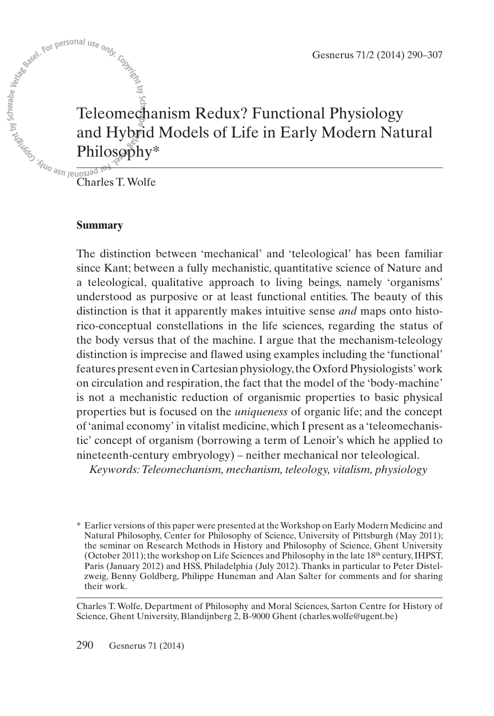Gesnerus 71/2 (2014) 290–307

## Gesnerus 71/2 (2014)<br>
Seventhe Contract on the Contract of Life in Early Modern Nate<br>
Teleomechanism Redux? Functional Physiology<br>
and Hybrid Models of Life in Early Modern Nate<br>
Charles T. Wolfe and Hybrid Models of Life in Early Modern Natural Philosophy\*

Charles T.Wolfe

## **Summary**

The distinction between 'mechanical' and 'teleological' has been familiar since Kant; between a fully mechanistic, quantitative science of Nature and a teleological, qualitative approach to living beings, namely 'organisms' understood as purposive or at least functional entities. The beauty of this distinction is that it apparently makes intuitive sense *and* maps onto historico-conceptual constellations in the life sciences, regarding the status of the body versus that of the machine. I argue that the mechanism-teleology distinction is imprecise and flawed using examples including the 'functional' features present even in Cartesian physiology,the Oxford Physiologists' work on circulation and respiration, the fact that the model of the 'body-machine' is not a mechanistic reduction of organismic properties to basic physical properties but is focused on the *uniqueness* of organic life; and the concept of'animal economy' in vitalist medicine, which I present as a 'teleomechanistic' concept of organism (borrowing a term of Lenoir's which he applied to nineteenth-century embryology) – neither mechanical nor teleological.

*Keywords:Teleomechanism, mechanism, teleology, vitalism, physiology*

Charles T.Wolfe, Department of Philosophy and Moral Sciences, Sarton Centre for History of Science, Ghent University, Blandijnberg 2, B-9000 Ghent (charles.wolfe@ugent.be)

<sup>\*</sup> Earlier versions of this paper were presented at theWorkshop on Early Modern Medicine and Natural Philosophy, Center for Philosophy of Science, University of Pittsburgh (May 2011); the seminar on Research Methods in History and Philosophy of Science, Ghent University (October 2011);the workshop on Life Sciences and Philosophy in the late 18th century,IHPST, Paris (January 2012) and HSS, Philadelphia (July 2012). Thanks in particular to Peter Distelzweig, Benny Goldberg, Philippe Huneman and Alan Salter for comments and for sharing their work.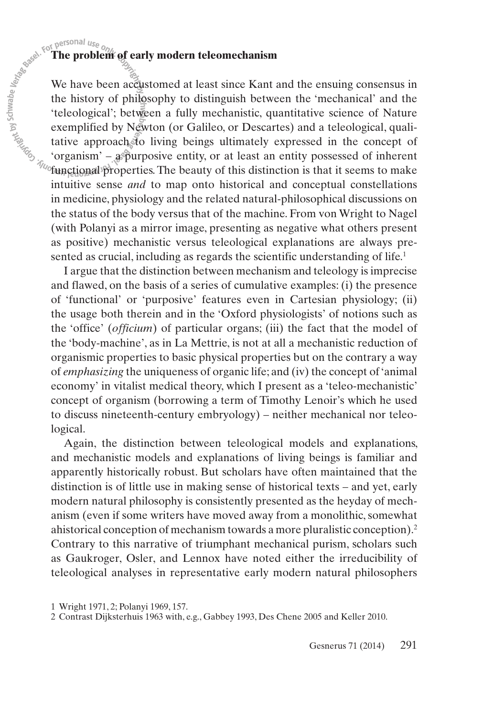Experienting the **The problem of early modern teleomechanism**<br>
We have been accustomed at least since Kant at the history of philosophy to distinguish between<br>
"teleological"; between a fully mechanistic, que exemplified b We have been accustomed at least since Kant and the ensuing consensus in the history of philosophy to distinguish between the 'mechanical' and the 'teleological'; between a fully mechanistic, quantitative science of Nature exemplified by Newton (or Galileo, or Descartes) and a teleological, qualitative approach to living beings ultimately expressed in the concept of 'organism' – a purposive entity, or at least an entity possessed of inherent  $\mathcal{F}_{\text{top}}$  organism  $-\frac{1}{2}$  properties. The beauty of this distinction is that it seems to make intuitive sense *and* to map onto historical and conceptual constellations in medicine, physiology and the related natural-philosophical discussions on the status of the body versus that of the machine. From von Wright to Nagel (with Polanyi as a mirror image, presenting as negative what others present as positive) mechanistic versus teleological explanations are always presented as crucial, including as regards the scientific understanding of life. 1

> I argue that the distinction between mechanism and teleology is imprecise and flawed, on the basis of a series of cumulative examples: (i) the presence of 'functional' or 'purposive' features even in Cartesian physiology; (ii) the usage both therein and in the 'Oxford physiologists' of notions such as the 'office' (*officium*) of particular organs; (iii) the fact that the model of the 'body-machine', as in La Mettrie, is not at all a mechanistic reduction of organismic properties to basic physical properties but on the contrary a way of *emphasizing* the uniqueness of organic life; and (iv) the concept of'animal economy' in vitalist medical theory, which I present as a 'teleo-mechanistic' concept of organism (borrowing a term of Timothy Lenoir's which he used to discuss nineteenth-century embryology) – neither mechanical nor teleological.

> Again, the distinction between teleological models and explanations, and mechanistic models and explanations of living beings is familiar and apparently historically robust. But scholars have often maintained that the distinction is of little use in making sense of historical texts – and yet, early modern natural philosophy is consistently presented as the heyday of mechanism (even if some writers have moved away from a monolithic, somewhat ahistorical conception of mechanism towards a more pluralistic conception). 2 Contrary to this narrative of triumphant mechanical purism, scholars such as Gaukroger, Osler, and Lennox have noted either the irreducibility of teleological analyses in representative early modern natural philosophers

1 Wright 1971, 2; Polanyi 1969, 157.

<sup>2</sup> Contrast Dijksterhuis 1963 with, e.g., Gabbey 1993, Des Chene 2005 and Keller 2010.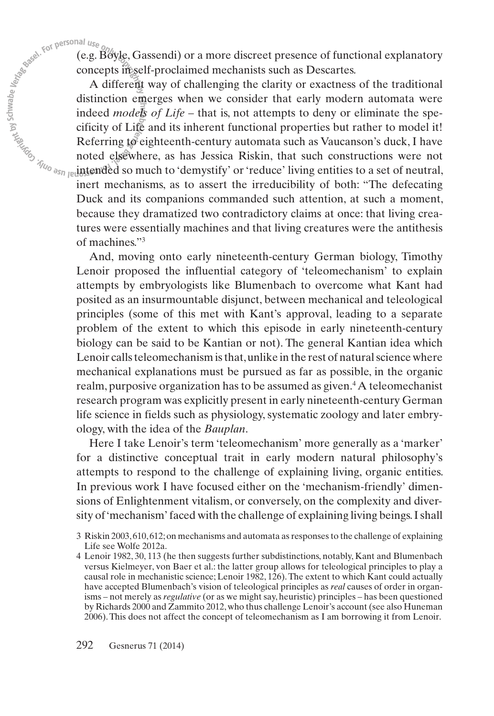(e.g. Boyle, Gassendi) or a more discreet presence of functional explanatory concepts in self-proclaimed mechanists such as Descartes.

A different way of challenging the clarity or exactness of the traditional distinction emerges when we consider that early modern automata were indeed *models of Life* – that is, not attempts to deny or eliminate the specificity of Life and its inherent functional properties but rather to model it! Referring to eighteenth-century automata such as Vaucanson's duck, I have noted elsewhere, as has Jessica Riskin, that such constructions were not intended so much to 'demystify' or'reduce' living entities to a set of neutral, inert mechanisms, as to assert the irreducibility of both: "The defecating Duck and its companions commanded such attention, at such a moment, because they dramatized two contradictory claims at once: that living creatures were essentially machines and that living creatures were the antithesis of machines."3

And, moving onto early nineteenth-century German biology, Timothy Lenoir proposed the influential category of 'teleomechanism' to explain attempts by embryologists like Blumenbach to overcome what Kant had posited as an insurmountable disjunct, between mechanical and teleological principles (some of this met with Kant's approval, leading to a separate problem of the extent to which this episode in early nineteenth-century biology can be said to be Kantian or not). The general Kantian idea which Lenoir calls teleomechanism is that, unlike in the rest of natural science where mechanical explanations must be pursued as far as possible, in the organic realm, purposive organization has to be assumed as given. <sup>4</sup> A teleomechanist research program was explicitly present in early nineteenth-century German life science in fields such as physiology, systematic zoology and later embryology, with the idea of the *Bauplan*.

Here I take Lenoir's term 'teleomechanism' more generally as a 'marker' for a distinctive conceptual trait in early modern natural philosophy's attempts to respond to the challenge of explaining living, organic entities. In previous work I have focused either on the 'mechanism-friendly' dimensions of Enlightenment vitalism, or conversely, on the complexity and diversity of'mechanism' faced with the challenge of explaining living beings.Ishall

<sup>3</sup> Riskin 2003,610,612;on mechanisms and automata asresponsesto the challenge of explaining Life see Wolfe 2012a.

<sup>4</sup> Lenoir 1982, 30, 113 (he then suggests further subdistinctions, notably, Kant and Blumenbach versus Kielmeyer, von Baer et al.: the latter group allows for teleological principles to play a causal role in mechanistic science; Lenoir 1982, 126).The extent to which Kant could actually have accepted Blumenbach's vision of teleological principles as *real* causes of order in organisms – not merely as *regulative* (or as we might say, heuristic) principles – has been questioned by Richards 2000 and Zammito 2012,who thus challenge Lenoir's account(see also Huneman 2006).This does not affect the concept of teleomechanism as I am borrowing it from Lenoir.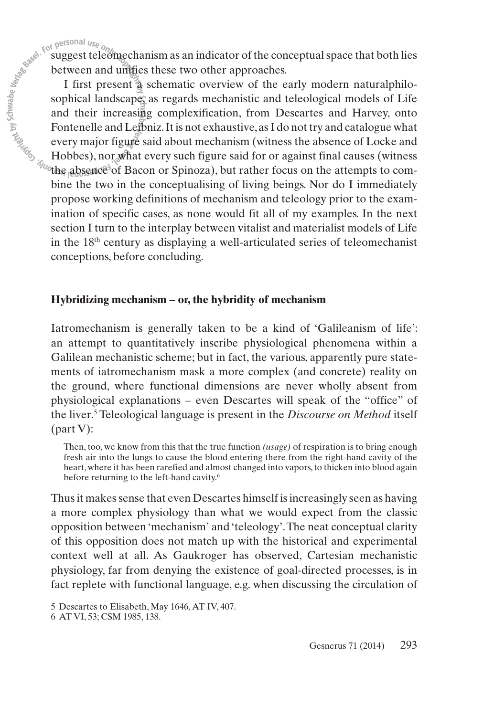suggest teleomechanism as an indicator of the conceptual space that both lies between and unifies these two other approaches.

I first present a schematic overview of the early modern naturalphilosophical landscape, as regards mechanistic and teleological models of Life and their increasing complexification, from Descartes and Harvey, onto Fontenelle and Leibniz.It is not exhaustive,asI do not try and catalogue what every major figure said about mechanism (witness the absence of Locke and Hobbes), nor what every such figure said for or against final causes (witness the absence<sup>3</sup> of Bacon or Spinoza), but rather focus on the attempts to combine the two in the conceptualising of living beings. Nor do I immediately propose working definitions of mechanism and teleology prior to the examination of specific cases, as none would fit all of my examples. In the next section I turn to the interplay between vitalist and materialist models of Life in the 18th century as displaying a well-articulated series of teleomechanist conceptions, before concluding.

### **Hybridizing mechanism – or, the hybridity of mechanism**

Iatromechanism is generally taken to be a kind of 'Galileanism of life': an attempt to quantitatively inscribe physiological phenomena within a Galilean mechanistic scheme; but in fact, the various, apparently pure statements of iatromechanism mask a more complex (and concrete) reality on the ground, where functional dimensions are never wholly absent from physiological explanations – even Descartes will speak of the "office" of the liver. <sup>5</sup> Teleological language is present in the *Discourse on Method* itself (part V):

Then, too, we know from this that the true function *(usage)* of respiration is to bring enough fresh air into the lungs to cause the blood entering there from the right-hand cavity of the heart, where it has been rarefied and almost changed into vapors, to thicken into blood again before returning to the left-hand cavity. 6

Thus it makes sense that even Descartes himself is increasingly seen as having a more complex physiology than what we would expect from the classic opposition between 'mechanism' and 'teleology'.The neat conceptual clarity of this opposition does not match up with the historical and experimental context well at all. As Gaukroger has observed, Cartesian mechanistic physiology, far from denying the existence of goal-directed processes, is in fact replete with functional language, e.g. when discussing the circulation of

6 AT VI, 53; CSM 1985, 138.

<sup>5</sup> Descartes to Elisabeth, May 1646, AT IV, 407.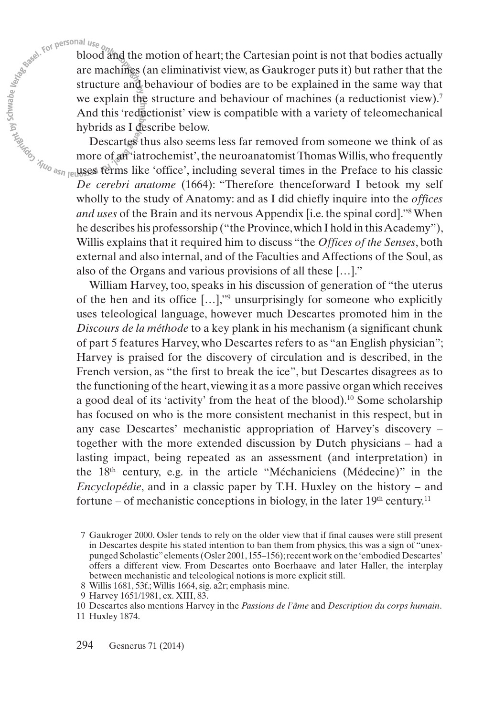blood and the motion of heart; the Cartesian point is not that bodies actually are machines (an eliminativist view, as Gaukroger puts it) but rather that the structure and behaviour of bodies are to be explained in the same way that we explain the structure and behaviour of machines (a reductionist view).<sup>7</sup> And this 'reductionist' view is compatible with a variety of teleomechanical hybrids as I describe below.

Descartes thus also seems less far removed from someone we think of as more of an 'iatrochemist', the neuroanatomist Thomas Willis, who frequently uses terms like 'office', including several times in the Preface to his classic *De cerebri anatome* (1664): "Therefore thenceforward I betook my self wholly to the study of Anatomy: and as I did chiefly inquire into the *offices and uses* of the Brain and its nervous Appendix [i.e. the spinal cord]."8 When he describes his professorship ("the Province, which I hold in this Academy"), Willis explains that it required him to discuss "the *Offices of the Senses*, both external and also internal, and of the Faculties and Affections of the Soul, as also of the Organs and various provisions of all these […]."

William Harvey, too, speaks in his discussion of generation of "the uterus of the hen and its office […],"9 unsurprisingly for someone who explicitly uses teleological language, however much Descartes promoted him in the *Discours de la méthode* to a key plank in his mechanism (a significant chunk of part 5 features Harvey, who Descartes refers to as "an English physician"; Harvey is praised for the discovery of circulation and is described, in the French version, as "the first to break the ice", but Descartes disagrees as to the functioning of the heart,viewing it as a more passive organ which receives a good deal of its 'activity' from the heat of the blood). <sup>10</sup> Some scholarship has focused on who is the more consistent mechanist in this respect, but in any case Descartes' mechanistic appropriation of Harvey's discovery – together with the more extended discussion by Dutch physicians – had a lasting impact, being repeated as an assessment (and interpretation) in the 18th century, e.g. in the article "Méchaniciens (Médecine)" in the *Encyclopédie*, and in a classic paper by T.H. Huxley on the history – and fortune – of mechanistic conceptions in biology, in the later  $19<sup>th</sup>$  century.<sup>11</sup>

<sup>7</sup> Gaukroger 2000. Osler tends to rely on the older view that if final causes were still present in Descartes despite his stated intention to ban them from physics, this was a sign of "unexpunged Scholastic"elements(Osler 2001,155–156);recent work on the'embodied Descartes' offers a different view. From Descartes onto Boerhaave and later Haller, the interplay between mechanistic and teleological notions is more explicit still.

<sup>8</sup> Willis 1681, 53f.;Willis 1664, sig. a2r; emphasis mine.

<sup>9</sup> Harvey 1651/1981, ex. XIII, 83.

<sup>10</sup> Descartes also mentions Harvey in the *Passions de l'âme* and *Description du corps humain*.

<sup>11</sup> Huxley 1874.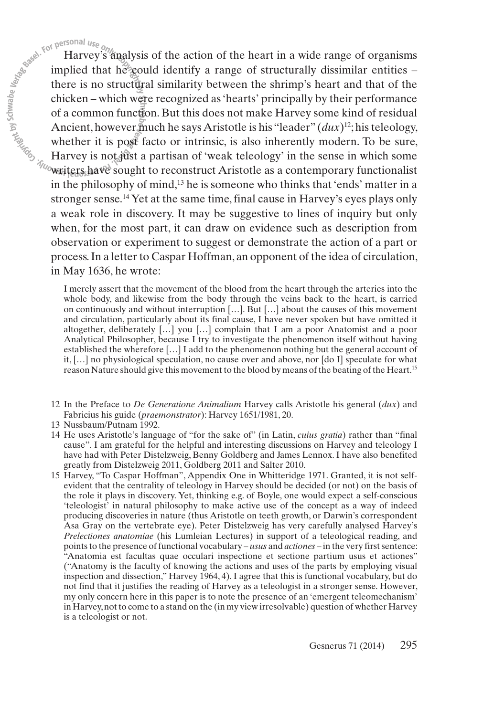Harvey's analysis of the action of the heart in a wide range of organisms implied that he could identify a range of structurally dissimilar entities – there is no structural similarity between the shrimp's heart and that of the chicken – which were recognized as'hearts' principally by their performance of a common function. But this does not make Harvey some kind of residual Ancient, however much he says Aristotle is his "leader" (*dux*)<sup>12</sup>; his teleology, whether it is post facto or intrinsic, is also inherently modern. To be sure, Harvey is not just a partisan of 'weak teleology' in the sense in which some writers have sought to reconstruct Aristotle as a contemporary functionalist in the philosophy of mind, <sup>13</sup> he is someone who thinks that 'ends' matter in a stronger sense. <sup>14</sup> Yet at the same time,final cause in Harvey's eyes plays only a weak role in discovery. It may be suggestive to lines of inquiry but only when, for the most part, it can draw on evidence such as description from observation or experiment to suggest or demonstrate the action of a part or process. In a letter to Caspar Hoffman, an opponent of the idea of circulation, in May 1636, he wrote:

I merely assert that the movement of the blood from the heart through the arteries into the whole body, and likewise from the body through the veins back to the heart, is carried on continuously and without interruption […]. But […] about the causes of this movement and circulation, particularly about its final cause, I have never spoken but have omitted it altogether, deliberately […] you […] complain that I am a poor Anatomist and a poor Analytical Philosopher, because I try to investigate the phenomenon itself without having established the wherefore […] I add to the phenomenon nothing but the general account of it, […] no physiological speculation, no cause over and above, nor [do I] speculate for what reason Nature should give this movement to the blood by means of the beating of the Heart. 15

- 12 In the Preface to *De Generatione Animalium* Harvey calls Aristotle his general (*dux*) and Fabricius his guide (*praemonstrator*): Harvey 1651/1981, 20.
- 13 Nussbaum/Putnam 1992.
- 14 He uses Aristotle's language of "for the sake of" (in Latin, *cuius gratia*) rather than "final cause". I am grateful for the helpful and interesting discussions on Harvey and teleology I have had with Peter Distelzweig, Benny Goldberg and James Lennox.I have also benefited greatly from Distelzweig 2011, Goldberg 2011 and Salter 2010.
- 15 Harvey, "To Caspar Hoffman", Appendix One in Whitteridge 1971. Granted, it is not self evident that the centrality of teleology in Harvey should be decided (or not) on the basis of the role it plays in discovery. Yet, thinking e.g. of Boyle, one would expect a self-conscious 'teleologist' in natural philosophy to make active use of the concept as a way of indeed producing discoveries in nature (thus Aristotle on teeth growth, or Darwin's correspondent Asa Gray on the vertebrate eye). Peter Distelzweig has very carefully analysed Harvey's *Prelectiones anatomiae* (his Lumleian Lectures) in support of a teleological reading, and pointsto the presence of functional vocabulary – *usus* and *actiones* – in the very firstsentence: "Anatomia est facultas quae occulari inspectione et sectione partium usus et actiones" ("Anatomy is the faculty of knowing the actions and uses of the parts by employing visual inspection and dissection," Harvey 1964, 4).I agree that this is functional vocabulary, but do not find that it justifies the reading of Harvey as a teleologist in a stronger sense. However, my only concern here in this paper is to note the presence of an 'emergent teleomechanism' in Harvey,not to come to a stand on the (in my view irresolvable) question of whether Harvey is a teleologist or not.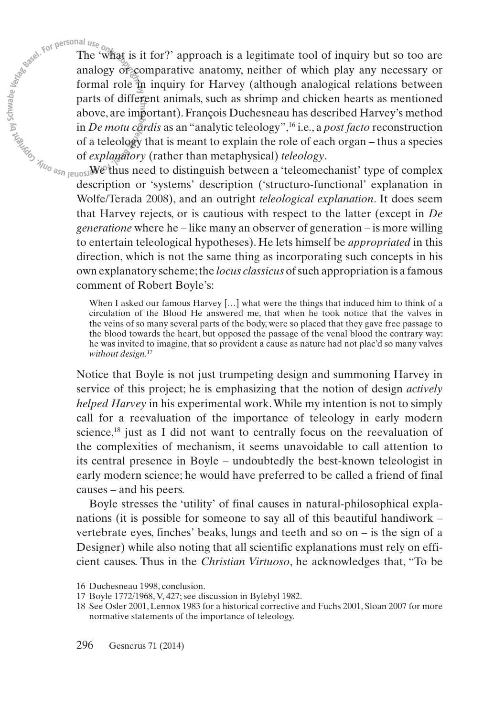The 'what is it for?' approach is a legitimate tool of inquiry but so too are analogy or comparative anatomy, neither of which play any necessary or formal role in inquiry for Harvey (although analogical relations between parts of different animals, such as shrimp and chicken hearts as mentioned above, are important).François Duchesneau has described Harvey's method in *De motu cordis* as an "analytic teleology", <sup>16</sup> i.e., a *post facto* reconstruction of a teleology that is meant to explain the role of each organ – thus a species of *explanatory* (rather than metaphysical) *teleology*.

We thus need to distinguish between a 'teleomechanist' type of complex description or 'systems' description ('structuro-functional' explanation in Wolfe/Terada 2008), and an outright *teleological explanation*. It does seem that Harvey rejects, or is cautious with respect to the latter (except in *De generatione* where he – like many an observer of generation – is more willing to entertain teleological hypotheses). He lets himself be *appropriated* in this direction, which is not the same thing as incorporating such concepts in his own explanatory scheme; the *locus classicus* of such appropriation is a famous comment of Robert Boyle's:

When I asked our famous Harvey [...] what were the things that induced him to think of a circulation of the Blood He answered me, that when he took notice that the valves in the veins of so many several parts of the body, were so placed that they gave free passage to the blood towards the heart, but opposed the passage of the venal blood the contrary way: he was invited to imagine, that so provident a cause as nature had not plac'd so many valves *without design.* 17

Notice that Boyle is not just trumpeting design and summoning Harvey in service of this project; he is emphasizing that the notion of design *actively helped Harvey* in his experimental work.While my intention is not to simply call for a reevaluation of the importance of teleology in early modern science, <sup>18</sup> just as I did not want to centrally focus on the reevaluation of the complexities of mechanism, it seems unavoidable to call attention to its central presence in Boyle – undoubtedly the best-known teleologist in early modern science; he would have preferred to be called a friend of final causes – and his peers.

Boyle stresses the 'utility' of final causes in natural-philosophical expla nations (it is possible for someone to say all of this beautiful handiwork – vertebrate eyes, finches' beaks, lungs and teeth and so on – is the sign of a Designer) while also noting that all scientific explanations must rely on efficient causes. Thus in the *Christian Virtuoso*, he acknowledges that, "To be

<sup>16</sup> Duchesneau 1998, conclusion.

<sup>17</sup> Boyle 1772/1968,V, 427; see discussion in Bylebyl 1982.

<sup>18</sup> See Osler 2001, Lennox 1983 for a historical corrective and Fuchs 2001, Sloan 2007 for more normative statements of the importance of teleology.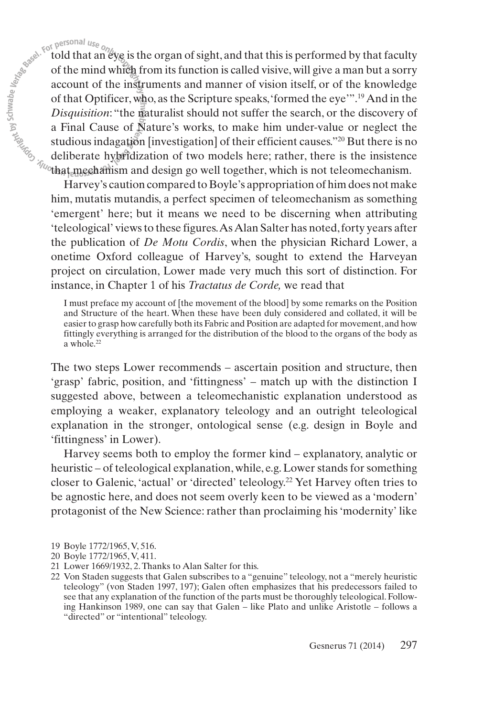told that an eye is the organ of sight, and that this is performed by that faculty of the mind which from its function is called visive,will give a man but a sorry account of the instruments and manner of vision itself, or of the knowledge of that Optificer,who, as the Scripture speaks,'formed the eye'". <sup>19</sup> And in the *Disquisition*: "the naturalist should not suffer the search, or the discovery of a Final Cause of Nature's works, to make him under-value or neglect the studious indagation [investigation] of their efficient causes."20 But there is no deliberate hybridization of two models here; rather, there is the insistence that mechanism and design go well together, which is not teleomechanism.

Harvey's caution compared to Boyle's appropriation of him does not make him, mutatis mutandis, a perfect specimen of teleomechanism as something 'emergent' here; but it means we need to be discerning when attributing 'teleological' viewsto these figures.AsAlan Salter has noted,forty years after the publication of *De Motu Cordis*, when the physician Richard Lower, a onetime Oxford colleague of Harvey's, sought to extend the Harveyan project on circulation, Lower made very much this sort of distinction. For instance, in Chapter 1 of his *Tractatus de Corde,* we read that

I must preface my account of [the movement of the blood] by some remarks on the Position and Structure of the heart. When these have been duly considered and collated, it will be easier to grasp how carefully both its Fabric and Position are adapted for movement, and how fittingly everything is arranged for the distribution of the blood to the organs of the body as a whole. 22

The two steps Lower recommends – ascertain position and structure, then 'grasp' fabric, position, and 'fittingness' – match up with the distinction I suggested above, between a teleomechanistic explanation understood as employing a weaker, explanatory teleology and an outright teleological explanation in the stronger, ontological sense (e.g. design in Boyle and 'fittingness' in Lower).

Harvey seems both to employ the former kind – explanatory, analytic or heuristic – of teleological explanation, while, e.g.Lower stands for something closer to Galenic, 'actual' or 'directed' teleology. <sup>22</sup> Yet Harvey often tries to be agnostic here, and does not seem overly keen to be viewed as a 'modern' protagonist of the New Science: rather than proclaiming his 'modernity' like

- 19 Boyle 1772/1965,V, 516.
- 20 Boyle 1772/1965,V, 411.
- 21 Lower 1669/1932, 2.Thanks to Alan Salter for this.
- 22 Von Staden suggests that Galen subscribes to a "genuine" teleology, not a "merely heuristic teleology" (von Staden 1997, 197); Galen often emphasizes that his predecessors failed to see that any explanation of the function of the parts must be thoroughly teleological.Following Hankinson 1989, one can say that Galen – like Plato and unlike Aristotle – follows a "directed" or "intentional" teleology.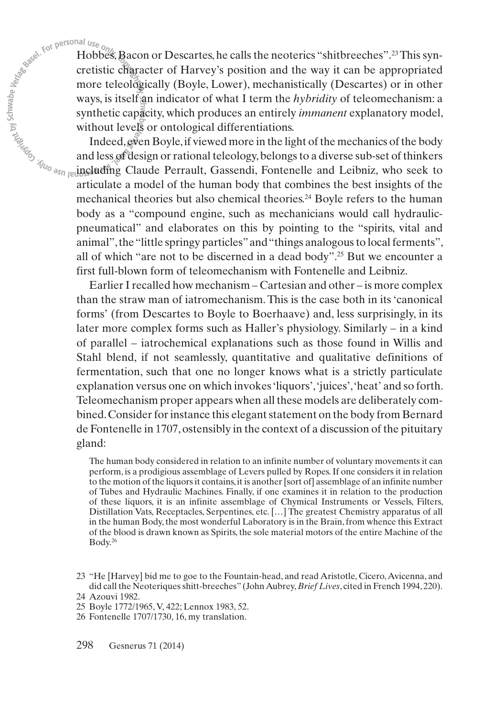Hobbes, Bacon or Descartes, he calls the neoterics "shitbreeches".<sup>23</sup> This syncretistic character of Harvey's position and the way it can be appropriated more teleologically (Boyle, Lower), mechanistically (Descartes) or in other ways, is itself an indicator of what I term the *hybridity* of teleomechanism: a synthetic capacity, which produces an entirely *immanent* explanatory model, without levels or ontological differentiations.

Indeed,even Boyle,if viewed more in the light of the mechanics of the body and less of design or rational teleology, belongs to a diverse sub-set of thinkers including Claude Perrault, Gassendi, Fontenelle and Leibniz, who seek to articulate a model of the human body that combines the best insights of the mechanical theories but also chemical theories. <sup>24</sup> Boyle refers to the human body as a "compound engine, such as mechanicians would call hydraulicpneumatical" and elaborates on this by pointing to the "spirits, vital and animal", the "little springy particles" and "things analogous to local ferments", all of which "are not to be discerned in a dead body". <sup>25</sup> But we encounter a first full-blown form of teleomechanism with Fontenelle and Leibniz.

Earlier I recalled how mechanism – Cartesian and other – is more complex than the straw man of iatromechanism.This is the case both in its'canonical forms' (from Descartes to Boyle to Boerhaave) and, less surprisingly, in its later more complex forms such as Haller's physiology. Similarly – in a kind of parallel – iatrochemical explanations such as those found in Willis and Stahl blend, if not seamlessly, quantitative and qualitative definitions of fermentation, such that one no longer knows what is a strictly particulate explanation versus one on which invokes'liquors','juices','heat' and so forth. Teleomechanism proper appears when all these models are deliberately combined. Consider for instance this elegant statement on the body from Bernard de Fontenelle in 1707,ostensibly in the context of a discussion of the pituitary gland:

The human body considered in relation to an infinite number of voluntary movements it can perform, is a prodigious assemblage of Levers pulled by Ropes.If one considers it in relation to the motion of the liquors it contains, it is another [sort of] assemblage of an infinite number of Tubes and Hydraulic Machines. Finally, if one examines it in relation to the production of these liquors, it is an infinite assemblage of Chymical Instruments or Vessels, Filters, Distillation Vats, Receptacles, Serpentines, etc. […] The greatest Chemistry apparatus of all in the human Body, the most wonderful Laboratory is in the Brain, from whence this Extract of the blood is drawn known as Spirits, the sole material motors of the entire Machine of the Body. 26

<sup>23</sup> "He [Harvey] bid me to goe to the Fountain-head, and read Aristotle, Cicero,Avicenna, and did call the Neoteriquesshitt-breeches" (JohnAubrey,*Brief Lives*, cited in French 1994, 220). 24 Azouvi 1982.

<sup>25</sup> Boyle 1772/1965,V, 422; Lennox 1983, 52.

<sup>26</sup> Fontenelle 1707/1730, 16, my translation.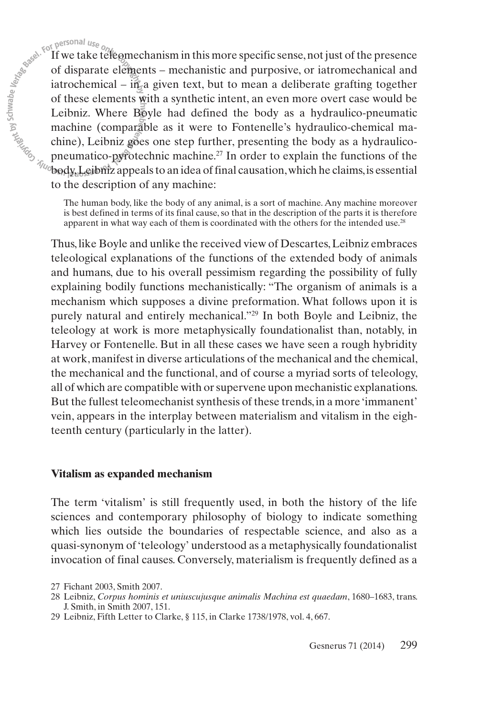$\frac{1}{2}$  is to personal use  $\frac{1}{2}$  if we take teleomechanism in this more specific sense, not just of the presence<br>of disparate elements – mechanistic and purposive, or iatromechanical and<br>iatrochemical – in a given t of disparate elements – mechanistic and purposive, or iatromechanical and iatrochemical – in a given text, but to mean a deliberate grafting together of these elements with a synthetic intent, an even more overt case would be Leibniz. Where  $\overline{B_0}$  by  $\overline{C}$  had defined the body as a hydraulico-pneumatic machine (comparable as it were to Fontenelle's hydraulico-chemical ma- $\chi$ chine), Leibniz goes one step further, presenting the body as a hydraulicopneumatico-pyrotechnic machine. <sup>27</sup> In order to explain the functions of the  $\psi_{\text{log}}$  body, Leibniz appeals to an idea of final causation, which he claims, is essential to the description of any machine:

> The human body, like the body of any animal, is a sort of machine. Any machine moreover is best defined in terms of its final cause, so that in the description of the parts it is therefore apparent in what way each of them is coordinated with the others for the intended use. $28$

Thus,like Boyle and unlike the received view of Descartes,Leibniz embraces teleological explanations of the functions of the extended body of animals and humans, due to his overall pessimism regarding the possibility of fully explaining bodily functions mechanistically: "The organism of animals is a mechanism which supposes a divine preformation. What follows upon it is purely natural and entirely mechanical."29 In both Boyle and Leibniz, the teleology at work is more metaphysically foundationalist than, notably, in Harvey or Fontenelle. But in all these cases we have seen a rough hybridity at work,manifest in diverse articulations of the mechanical and the chemical, the mechanical and the functional, and of course a myriad sorts of teleology, all of which are compatible with orsupervene upon mechanistic explanations. But the fullest teleomechanist synthesis of these trends, in a more 'immanent' vein, appears in the interplay between materialism and vitalism in the eighteenth century (particularly in the latter).

### **Vitalism as expanded mechanism**

The term 'vitalism' is still frequently used, in both the history of the life sciences and contemporary philosophy of biology to indicate something which lies outside the boundaries of respectable science, and also as a quasi-synonym of'teleology' understood as a metaphysically foundationalist invocation of final causes. Conversely, materialism is frequently defined as a

<sup>27</sup> Fichant 2003, Smith 2007.

<sup>28</sup> Leibniz, *Corpus hominis et uniuscujusque animalis Machina est quaedam*, 1680–1683, trans. J. Smith, in Smith 2007, 151.

<sup>29</sup> Leibniz, Fifth Letter to Clarke, § 115, in Clarke 1738/1978, vol. 4, 667.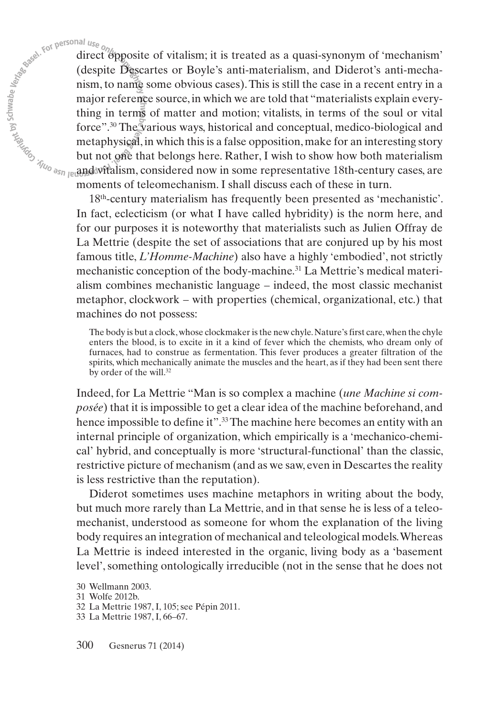direct opposite of vitalism; it is treated as a quasi-synonym of 'mechanism' (despite Descartes or Boyle's anti-materialism, and Diderot's anti-mechanism, to name some obvious cases).This is still the case in a recent entry in a major reference source, in which we are told that "materialists explain everything in terms of matter and motion; vitalists, in terms of the soul or vital force". <sup>30</sup> The various ways, historical and conceptual, medico-biological and metaphysical, in which this is a false opposition, make for an interesting story but not one that belongs here. Rather, I wish to show how both materialism and vitalism, considered now in some representative 18th-century cases, are moments of teleomechanism. I shall discuss each of these in turn.

18th-century materialism has frequently been presented as 'mechanistic'. In fact, eclecticism (or what I have called hybridity) is the norm here, and for our purposes it is noteworthy that materialists such as Julien Offray de La Mettrie (despite the set of associations that are conjured up by his most famous title, *L'Homme-Machine*) also have a highly 'embodied', not strictly mechanistic conception of the body-machine. <sup>31</sup> La Mettrie's medical materialism combines mechanistic language – indeed, the most classic mechanist metaphor, clockwork – with properties (chemical, organizational, etc.) that machines do not possess:

The body is but a clock, whose clockmaker is the new chyle. Nature's first care, when the chyle enters the blood, is to excite in it a kind of fever which the chemists, who dream only of furnaces, had to construe as fermentation. This fever produces a greater filtration of the spirits, which mechanically animate the muscles and the heart, as if they had been sent there by order of the will. 32

Indeed, for La Mettrie "Man is so complex a machine (*une Machine si composée*) that it is impossible to get a clear idea of the machine beforehand, and hence impossible to define it".<sup>33</sup> The machine here becomes an entity with an internal principle of organization, which empirically is a 'mechanico-chemical' hybrid, and conceptually is more 'structural-functional' than the classic, restrictive picture of mechanism (and as we saw, even in Descartes the reality is less restrictive than the reputation).

Diderot sometimes uses machine metaphors in writing about the body, but much more rarely than La Mettrie, and in that sense he is less of a teleomechanist, understood as someone for whom the explanation of the living body requires an integration of mechanical and teleological models.Whereas La Mettrie is indeed interested in the organic, living body as a 'basement level',something ontologically irreducible (not in the sense that he does not

<sup>30</sup> Wellmann 2003.

<sup>31</sup> Wolfe 2012b.

<sup>32</sup> La Mettrie 1987, I, 105; see Pépin 2011.

<sup>33</sup> La Mettrie 1987, I, 66–67.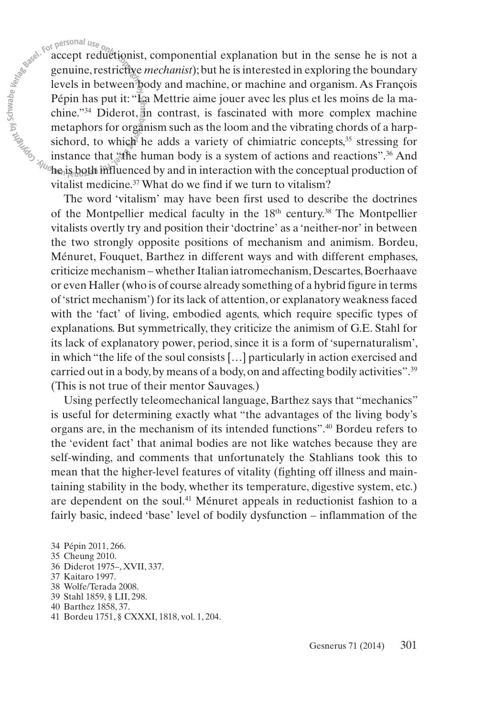Example the personal use  $\delta$  accept reductionist, componential explanation but in the sense he is not a genuine, restrictive *mechanist*); but he is interested in exploring the boundary levels in between body and machine genuine, restrictive *mechanist*); but he is interested in exploring the boundary levels in between body and machine, or machine and organism. As François Pépin has put it: "La Mettrie aime jouer avec les plus et les moins de la machine."<sup>34</sup> Diderot, in contrast, is fascinated with more complex machine metaphors for organism such as the loom and the vibrating chords of a harpsichord, to which he adds a variety of chimiatric concepts,<sup>35</sup> stressing for instance that "the human body is a system of actions and reactions". <sup>36</sup> And the is both influenced by and in interaction with the conceptual production of vitalist medicine. <sup>37</sup> What do we find if we turn to vitalism?

> The word 'vitalism' may have been first used to describe the doctrines of the Montpellier medical faculty in the 18<sup>th</sup> century.<sup>38</sup> The Montpellier vitalists overtly try and position their'doctrine' as a 'neither-nor' in between the two strongly opposite positions of mechanism and animism. Bordeu, Ménuret, Fouquet, Barthez in different ways and with different emphases, criticize mechanism – whetherItalian iatromechanism,Descartes,Boerhaave or even Haller(who is of course already something of a hybrid figure in terms of'strict mechanism') for its lack of attention, or explanatory weakness faced with the 'fact' of living, embodied agents, which require specific types of explanations. But symmetrically, they criticize the animism of G.E. Stahl for its lack of explanatory power, period, since it is a form of 'supernaturalism', in which "the life of the soul consists […] particularly in action exercised and carried out in a body, by means of a body, on and affecting bodily activities".<sup>39</sup> (This is not true of their mentor Sauvages.)

> Using perfectly teleomechanical language, Barthez says that "mechanics" is useful for determining exactly what "the advantages of the living body's organs are, in the mechanism of its intended functions". <sup>40</sup> Bordeu refers to the 'evident fact' that animal bodies are not like watches because they are self-winding, and comments that unfortunately the Stahlians took this to mean that the higher-level features of vitality (fighting off illness and maintaining stability in the body, whether its temperature, digestive system, etc.) are dependent on the soul. <sup>41</sup> Ménuret appeals in reductionist fashion to a fairly basic, indeed 'base' level of bodily dysfunction – inflammation of the

- 37 Kaitaro 1997.
- 38 Wolfe/Terada 2008.
- 39 Stahl 1859, § LII, 298.

41 Bordeu 1751, § CXXXI, 1818, vol. 1, 204.

<sup>34</sup> Pépin 2011, 266.

<sup>35</sup> Cheung 2010.

<sup>36</sup> Diderot 1975–, XVII, 337.

<sup>40</sup> Barthez 1858, 37.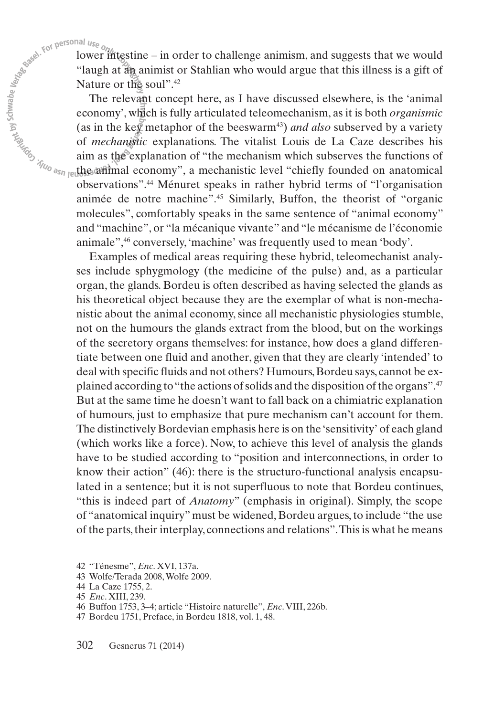lower intestine – in order to challenge animism, and suggests that we would "laugh at an animist or Stahlian who would argue that this illness is a gift of Nature or the soul".<sup>42</sup>

The relevant concept here, as I have discussed elsewhere, is the 'animal economy', which is fully articulated teleomechanism, as it is both *organismic* (as in the key metaphor of the beeswarm<sup>43</sup>) *and also* subserved by a variety of *mechanistic* explanations. The vitalist Louis de La Caze describes his aim as the explanation of "the mechanism which subserves the functions of the animal economy", a mechanistic level "chiefly founded on anatomical observations". <sup>44</sup> Ménuret speaks in rather hybrid terms of "l'organisation animée de notre machine". <sup>45</sup> Similarly, Buffon, the theorist of "organic molecules", comfortably speaks in the same sentence of "animal economy" and "machine", or "la mécanique vivante" and "le mécanisme de l'économie animale", <sup>46</sup> conversely, 'machine' was frequently used to mean 'body'.

Examples of medical areas requiring these hybrid, teleomechanist analyses include sphygmology (the medicine of the pulse) and, as a particular organ, the glands. Bordeu is often described as having selected the glands as his theoretical object because they are the exemplar of what is non-mechanistic about the animal economy, since all mechanistic physiologies stumble, not on the humours the glands extract from the blood, but on the workings of the secretory organs themselves: for instance, how does a gland differentiate between one fluid and another, given that they are clearly 'intended' to deal with specific fluids and not others? Humours,Bordeu says, cannot be explained according to "the actions of solids and the disposition of the organs".<sup>47</sup> But at the same time he doesn't want to fall back on a chimiatric explanation of humours, just to emphasize that pure mechanism can't account for them. The distinctively Bordevian emphasis here is on the'sensitivity' of each gland (which works like a force). Now, to achieve this level of analysis the glands have to be studied according to "position and interconnections, in order to know their action" (46): there is the structuro-functional analysis encapsulated in a sentence; but it is not superfluous to note that Bordeu continues, "this is indeed part of *Anatomy*" (emphasis in original). Simply, the scope of "anatomical inquiry" must be widened, Bordeu argues,to include "the use of the parts, their interplay, connections and relations". This is what he means

<sup>42</sup> "Ténesme", *Enc*. XVI, 137a.

<sup>43</sup> Wolfe/Terada 2008,Wolfe 2009.

<sup>44</sup> La Caze 1755, 2.

<sup>45</sup> *Enc*. XIII, 239.

<sup>46</sup> Buffon 1753, 3–4; article "Histoire naturelle", *Enc*.VIII, 226b.

<sup>47</sup> Bordeu 1751, Preface, in Bordeu 1818, vol. 1, 48.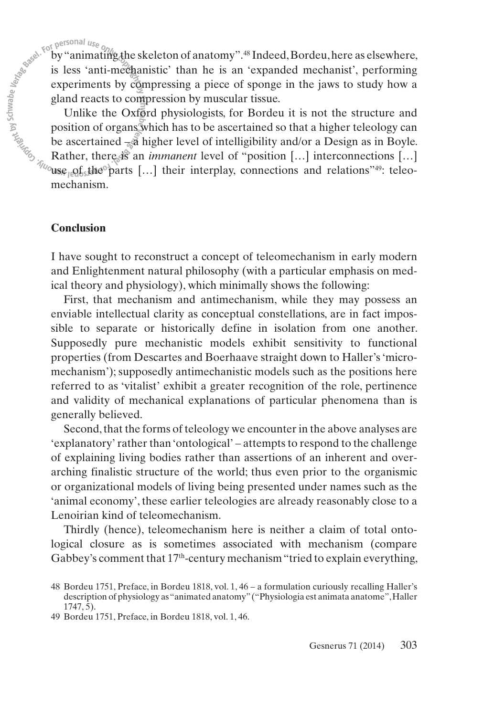by"animating the skeleton of anatomy". <sup>48</sup> Indeed,Bordeu,here as elsewhere, experiments by compressing a piece of sponge in the jaws to study how a gland reacts to compression by muscular tissue.

For personal use one set anti-mechanistic' than he is an 'expanded mechanist', performing<br>is less 'anti-mechanistic' than he is an 'expanded mechanist', performing<br>experiments by compressing a piece of sponge in the jaws Unlike the Oxford physiologists, for Bordeu it is not the structure and position of organs which has to be ascertained so that a higher teleology can be ascertained  $-\tilde{a}$  higher level of intelligibility and/or a Design as in Boyle. Rather, there is an *immanent* level of "position [...] interconnections [...] use  $_{\text{R}}$  arts [...] their interplay, connections and relations<sup>749</sup>: teleomechanism.

### **Conclusion**

I have sought to reconstruct a concept of teleomechanism in early modern and Enlightenment natural philosophy (with a particular emphasis on medical theory and physiology), which minimally shows the following:

First, that mechanism and antimechanism, while they may possess an enviable intellectual clarity as conceptual constellations, are in fact impossible to separate or historically define in isolation from one another. Supposedly pure mechanistic models exhibit sensitivity to functional properties (from Descartes and Boerhaave straight down to Haller's'micromechanism'); supposedly antimechanistic models such as the positions here referred to as 'vitalist' exhibit a greater recognition of the role, pertinence and validity of mechanical explanations of particular phenomena than is generally believed.

Second, that the forms of teleology we encounter in the above analyses are 'explanatory' rather than 'ontological' – attempts to respond to the challenge of explaining living bodies rather than assertions of an inherent and over arching finalistic structure of the world; thus even prior to the organismic or organizational models of living being presented under names such as the 'animal economy', these earlier teleologies are already reasonably close to a Lenoirian kind of teleomechanism.

Thirdly (hence), teleomechanism here is neither a claim of total ontological closure as is sometimes associated with mechanism (compare Gabbey's comment that 17<sup>th</sup>-century mechanism "tried to explain everything,

<sup>48</sup> Bordeu 1751, Preface, in Bordeu 1818, vol. 1, 46 – a formulation curiously recalling Haller's description of physiology as"animated anatomy"("Physiologia est animata anatome",Haller 1747, 5).

<sup>49</sup> Bordeu 1751, Preface, in Bordeu 1818, vol. 1, 46.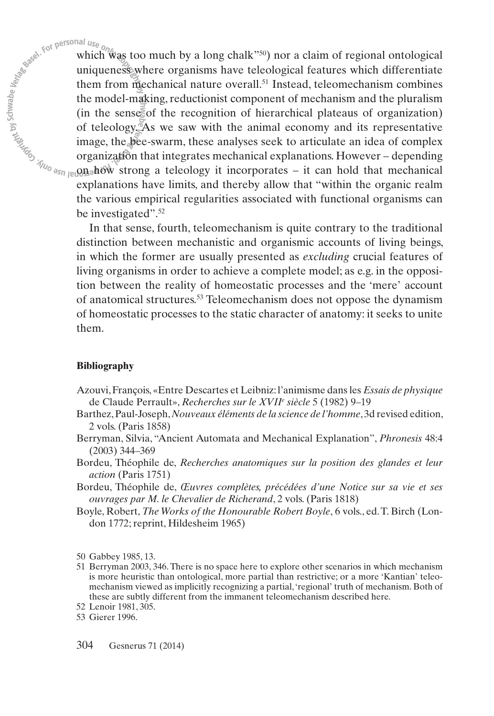which was too much by a long chalk"<sup>50</sup>) nor a claim of regional ontological uniqueness where organisms have teleological features which differentiate them from mechanical nature overall. <sup>51</sup> Instead, teleomechanism combines the model-making, reductionist component of mechanism and the pluralism (in the sense of the recognition of hierarchical plateaus of organization) of teleology. As we saw with the animal economy and its representative image, the bee-swarm, these analyses seek to articulate an idea of complex organization that integrates mechanical explanations. However – depending on how strong a teleology it incorporates – it can hold that mechanical explanations have limits, and thereby allow that "within the organic realm the various empirical regularities associated with functional organisms can be investigated". 52

In that sense, fourth, teleomechanism is quite contrary to the traditional distinction between mechanistic and organismic accounts of living beings, in which the former are usually presented as *excluding* crucial features of living organisms in order to achieve a complete model; as e.g. in the opposition between the reality of homeostatic processes and the 'mere' account of anatomical structures. <sup>53</sup> Teleomechanism does not oppose the dynamism of homeostatic processes to the static character of anatomy: it seeks to unite them.

### **Bibliography**

- Azouvi,François, «Entre Descartes et Leibniz:l'animisme dansles *Essais de physique* de Claude Perrault», *Recherches sur le XVIIe siècle* 5 (1982) 9–19
- Barthez,Paul-Joseph,*Nouveaux éléments de la science de l'homme*,3d revised edition, 2 vols. (Paris 1858)
- Berryman, Silvia, "Ancient Automata and Mechanical Explanation", *Phronesis* 48:4 (2003) 344–369
- Bordeu, Théophile de, *Recherches anatomiques sur la position des glandes et leur action* (Paris 1751)
- Bordeu, Théophile de, *Œuvres complètes, précédées d'une Notice sur sa vie et ses ouvrages par M. le Chevalier de Richerand*, 2 vols. (Paris 1818)
- Boyle, Robert, *The Works of the Honourable Robert Boyle*, 6 vols., ed.T. Birch (London 1772; reprint, Hildesheim 1965)

50 Gabbey 1985, 13.

51 Berryman 2003, 346.There is no space here to explore other scenarios in which mechanism is more heuristic than ontological, more partial than restrictive; or a more 'Kantian' teleomechanism viewed as implicitly recognizing a partial,'regional' truth of mechanism. Both of these are subtly different from the immanent teleomechanism described here.

<sup>52</sup> Lenoir 1981, 305.

<sup>53</sup> Gierer 1996.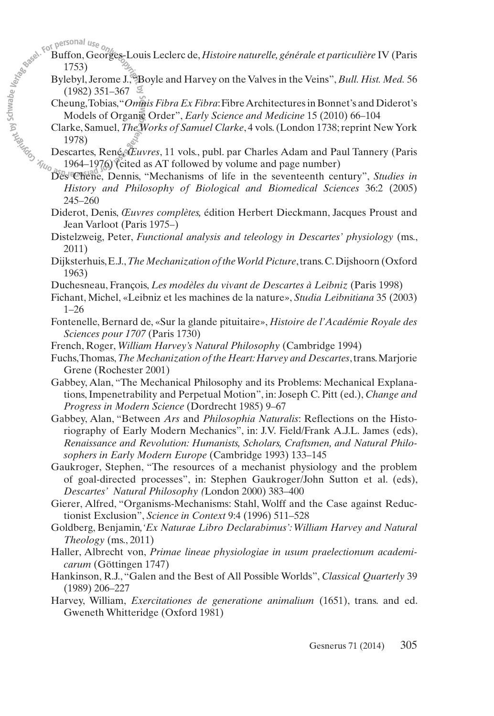- Buffon, Georges-Louis Leclerc de, *Histoire naturelle, générale et particulière* IV (Paris 1753)
- Bylebyl, Jerome J.,"Boyle and Harvey on the Valves in the Veins", *Bull. Hist.Med.* 56  $(1982)$  351–367  $\mathcal{Z}$
- Cheung,Tobias,"*Omnis Fibra Ex Fibra*:FibreArchitecturesin Bonnet's and Diderot's Models of Organic Order", *Early Science and Medicine* 15 (2010) 66–104
- Clarke, Samuel,*TheWorks of Samuel Clarke*, 4 vols.(London 1738;reprint NewYork 1978)
- Descartes, René, *Œuvres*, 11 vols., publ. par Charles Adam and Paul Tannery (Paris 1964–1976) (cited as AT followed by volume and page number)
- Des Chene, Dennis, "Mechanisms of life in the seventeenth century", *Studies in History and Philosophy of Biological and Biomedical Sciences* 36:2 (2005) 245–260
- Diderot, Denis, *Œuvres complètes,* édition Herbert Dieckmann, Jacques Proust and Jean Varloot (Paris 1975–)
- Distelzweig, Peter, *Functional analysis and teleology in Descartes' physiology* (ms., 2011)
- Dijksterhuis,E.J.,*The Mechanization oftheWorldPicture*,trans.C.Dijshoorn (Oxford 1963)
- Duchesneau, François, *Les modèles du vivant de Descartes à Leibniz* (Paris 1998)
- Fichant, Michel, «Leibniz et les machines de la nature», *Studia Leibnitiana* 35 (2003) 1–26
- Fontenelle, Bernard de, «Sur la glande pituitaire», *Histoire de l'Académie Royale des Sciences pour 1707* (Paris 1730)
- French, Roger, *William Harvey's Natural Philosophy* (Cambridge 1994)
- Fuchs,Thomas,*The Mechanization of the Heart:Harvey and Descartes*,trans.Marjorie Grene (Rochester 2001)
- Gabbey, Alan, "The Mechanical Philosophy and its Problems: Mechanical Explanations,Impenetrability and Perpetual Motion", in: Joseph C. Pitt (ed.), *Change and Progress in Modern Science* (Dordrecht 1985) 9–67
- Gabbey, Alan, "Between *Ars* and *Philosophia Naturalis*: Reflections on the Historiography of Early Modern Mechanics", in: J.V. Field/Frank A.J.L. James (eds), *Renaissance and Revolution: Humanists, Scholars, Craftsmen, and Natural Philo sophers in Early Modern Europe* (Cambridge 1993) 133–145
- Gaukroger, Stephen, "The resources of a mechanist physiology and the problem of goal-directed processes", in: Stephen Gaukroger/John Sutton et al. (eds), *Des cartes' Natural Philosophy (*London 2000) 383–400
- Gierer, Alfred, "Organisms-Mechanisms: Stahl, Wolff and the Case against Reductionist Exclusion", *Science in Context* 9:4 (1996) 511–528
- Goldberg, Benjamin*,'Ex Naturae Libro Declarabimus': William Harvey and Natural Theology* (ms., 2011)
- Haller, Albrecht von, *Primae lineae physiologiae in usum praelectionum academicarum* (Göttingen 1747)
- Hankinson, R.J., "Galen and the Best of All Possible Worlds", *Classical Quarterly* 39 (1989) 206–227
- Harvey, William, *Exercitationes de generatione animalium* (1651), trans. and ed. Gweneth Whitteridge (Oxford 1981)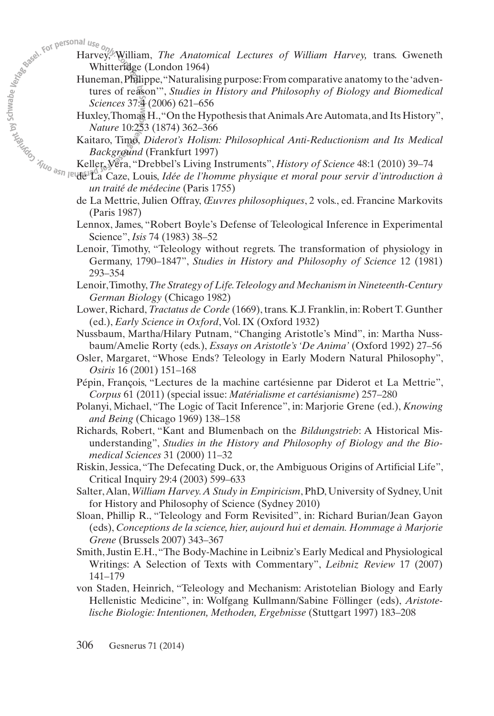- Harvey, William, *The Anatomical Lectures of William Harvey,* trans. Gweneth Whitteridge (London 1964)
	- Huneman,Philippe,"Naturalising purpose:From comparative anatomy to the'adventures of reason'", *Studies in History and Philosophy of Biology and Biomedical Sciences* 37:4 (2006) 621–656
	- Huxley,Thomas H.,"On the HypothesisthatAnimalsAreAutomata,and Its History", *Nature* 10:253 (1874) 362–366
	- Kaitaro, Timo, *Diderot's Holism: Philosophical Anti-Reductionism and Its Medical Background* (Frankfurt 1997)
- Keller,Vera, "Drebbel's Living Instruments", *History of Science* 48:1 (2010) 39–74
- de La Caze, Louis, *Idée de l'homme physique et moral pour servir d'introduction à un traité de médecine* (Paris 1755)
- de La Mettrie, Julien Offray, *Œuvres philosophiques*, 2 vols., ed. Francine Markovits (Paris 1987)
- Lennox, James, "Robert Boyle's Defense of Teleological Inference in Experimental Science", *Isis* 74 (1983) 38–52
- Lenoir, Timothy, "Teleology without regrets. The transformation of physiology in Germany, 1790–1847", *Studies in History and Philosophy of Science* 12 (1981) 293–354
- Lenoir,Timothy,*The Strategy of Life.Teleology and Mechanism in Nineteenth-Century German Biology* (Chicago 1982)
- Lower, Richard, *Tractatus de Corde* (1669), trans. K.J. Franklin, in: Robert T. Gunther (ed.), *Early Science in Oxford*,Vol. IX (Oxford 1932)
- Nussbaum, Martha/Hilary Putnam, "Changing Aristotle's Mind", in: Martha Nussbaum/Amelie Rorty (eds.), *Essays on Aristotle's 'De Anima'* (Oxford 1992) 27–56
- Osler, Margaret, "Whose Ends? Teleology in Early Modern Natural Philosophy", *Osiris* 16 (2001) 151–168
- Pépin, François, "Lectures de la machine cartésienne par Diderot et La Mettrie", *Corpus* 61 (2011) (special issue: *Matérialisme et cartésianisme*) 257–280
- Polanyi, Michael, "The Logic of Tacit Inference", in: Marjorie Grene (ed.), *Knowing and Being* (Chicago 1969) 138–158
- Richards, Robert, "Kant and Blumenbach on the *Bildungstrieb*: A Historical Misunderstanding", *Studies in the History and Philosophy of Biology and the Bio medical Sciences* 31 (2000) 11–32
- Riskin, Jessica, "The Defecating Duck, or, the Ambiguous Origins of Artificial Life", Critical Inquiry 29:4 (2003) 599–633
- Salter,Alan,*William Harvey.A Study in Empiricism*, PhD, University of Sydney, Unit for History and Philosophy of Science (Sydney 2010)
- Sloan, Phillip R., "Teleology and Form Revisited", in: Richard Burian/Jean Gayon (eds), *Conceptions de la science, hier, aujourd hui et demain. Hommage à Marjorie Grene* (Brussels 2007) 343–367
- Smith, Justin E.H.,"The Body-Machine in Leibniz's Early Medical and Physiological Writings: A Selection of Texts with Commentary", *Leibniz Review* 17 (2007) 141–179
- von Staden, Heinrich, "Teleology and Mechanism: Aristotelian Biology and Early Hellenistic Medicine", in: Wolfgang Kullmann/Sabine Föllinger (eds), *Aristote lische Biologie: Intentionen, Methoden, Ergebnisse* (Stuttgart 1997) 183–208